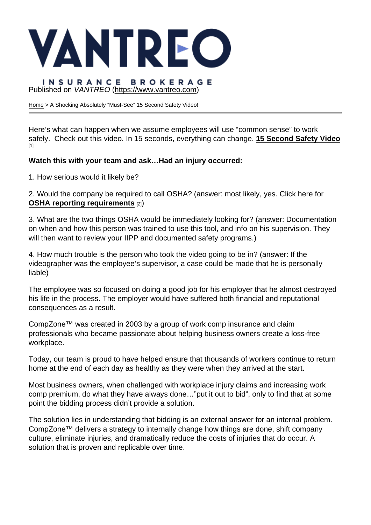# Published on VANTREO [\(https://www.vantreo.com](https://www.vantreo.com))

[Home](https://www.vantreo.com/) > A Shocking Absolutely "Must-See" 15 Second Safety Video!

Here's what can happen when we assume employees will use "common sense" to work safely. Check out this video. In 15 seconds, everything can change. [15 Second Safety Video](https://go.compzone.com/e2t/c/*W8dpq918LxmTFW7Pjz_n1LhHkc0/*W5mQQMF4Sp_rlV3q4145Y_k8d0/5/f18dQhb0SfHG8X-g4kW8cNLBr2P58x7W1N1Pq63SyQdDW3MRJJL1wclHvW7VzFc_1G5_SkW2LGqyC8_2vtDW2Pw_0Y48lLsXW7mHBjF1L4xyjW6FKg-T2XsCWxW7t79sy8p6tHMN5wM1RK91lL9W2KFZxK3-b1_0W1VJryk5lX8fqW13bD4h6dkdCwVrMT311GHJ8qW7HYc814yGYx4W1GQfYn85DNVxN5n1fPQ63H9nW82-phz14mmZLW6wPY9V4z-b0GW1Hq1T55NphywW1GmP4Y2KKLXwN7wrZx069P-wW33pgj255gRwQW3q4KVW2fT4RPVtTTBn8nDXSCW3f_5_K4p7yDTW2BPMnk64jBwsVRBdNN3NJ3TyW8qZKkh8rDxGfW8rTsg-7mt3V-W6jBwNb98ZhXtW6HwHZW83XNkqW3xYR831Hmx4QW1rHmQg2vSzV7W4Q-5SV4HzlZFf3LWRJq11) [1]

Watch this with your team and ask... Had an injury occurred:

1. How serious would it likely be?

2. Would the company be required to call OSHA? (answer: most likely, yes. Click here for OSHA reporting requirements [2])

3. What are the two things OSHA would be immediately looking for? (answer: Documentation on when and how this person was trained to use this tool, and info on his supervision. They will then want to review your IIPP and documented safety programs.)

4. How much trouble is the person who took the video going to be in? (answer: If the videographer was the employee's supervisor, a case could be made that he is personally liable)

The employee was so focused on doing a good job for his employer that he almost destroyed his life in the process. The employer would have suffered both financial and reputational consequences as a result.

CompZone™ was created in 2003 by a group of work comp insurance and claim professionals who became passionate about helping business owners create a loss-free workplace.

Today, our team is proud to have helped ensure that thousands of workers continue to return home at the end of each day as healthy as they were when they arrived at the start.

Most business owners, when challenged with workplace injury claims and increasing work comp premium, do what they have always done…"put it out to bid", only to find that at some point the bidding process didn't provide a solution.

The solution lies in understanding that bidding is an external answer for an internal problem. CompZone™ delivers a strategy to internally change how things are done, shift company culture, eliminate injuries, and dramatically reduce the costs of injuries that do occur. A solution that is proven and replicable over time.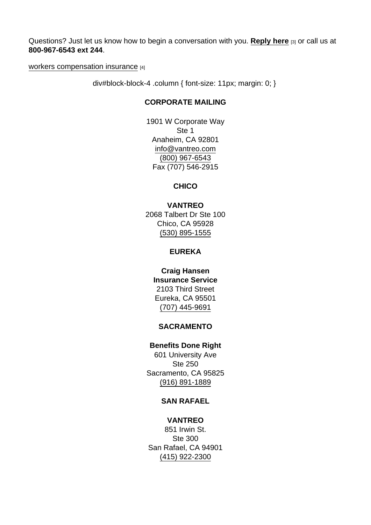Questions? Just let us know how to begin a conversation with you. [Reply here](mailto:dweinstein@vantreo.com?subject=A Shocking Absolutely Must See 15 Second Safety Video!) [3] or call us at 800-967-6543 ext 244.

[workers compensation insurance](https://www.vantreo.com/coverage/workers-comp-insurance) [4]

div#block-block-4 .column { font-size: 11px; margin: 0; }

# CORPORATE MAILING

1901 W Corporate Way Ste 1 Anaheim, CA 92801 [info@vantreo.com](mailto:info@vantreo.com) [\(800\) 967-6543](tel:1-800-967-6543) Fax (707) 546-2915

**CHICO** 

VANTREO 2068 Talbert Dr Ste 100 Chico, CA 95928 [\(530\) 895-1555](tel:530-895-1555)

EUREKA

Craig Hansen Insurance Service 2103 Third Street Eureka, CA 95501 [\(707\) 445-9691](tel:707-445-9691)

#### SACRAMENTO

Benefits Done Right 601 University Ave Ste 250 Sacramento, CA 95825 [\(916\) 891-1889](tel:916-891-1889)

#### SAN RAFAEL

VANTREO 851 Irwin St. Ste 300 San Rafael, CA 94901 [\(415\) 922-2300](tel:415-922-2300)